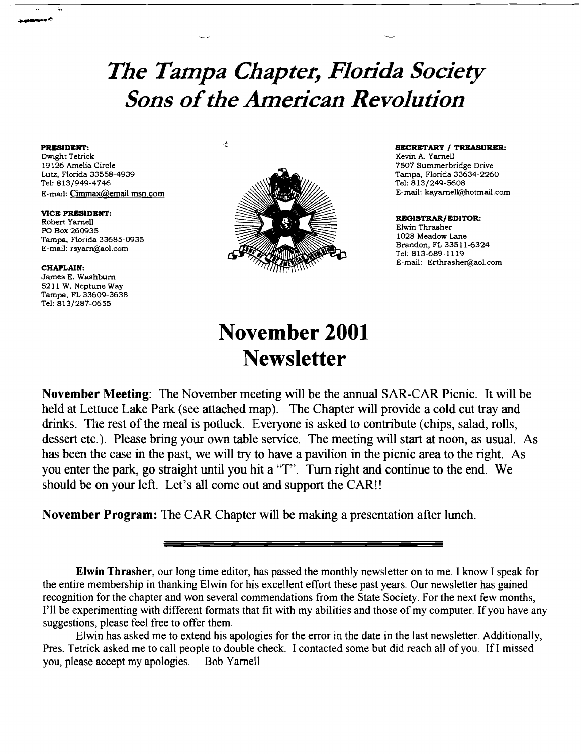# *The Tampa Chapter, Florida Society Sons ofthe American Revolution*

Ž. Ö.

E-mail: Cimmax@email.msn.com

### CHAPLAIN:

James E. Washburn 5211 W. Neptune Way Tampa, FL 33609-3638 Tel: 813/287-0655



example. The secretary of the secretary of the secretary of the secretary of the secretary of the secretary of the secretary of the secretary of the secretary of the secretary of the secretary of the secretary of the secre Kevin A. Yarnell Tel: 813/249-5608<br>E-mail: kayarnelk@hotmail.com

E-mail: Erthrasher@aol.com

## **November 2001 Newsletter**

November Meeting: The November meeting will be the annual 8AR-CAR Picnic. It will be held at Lettuce Lake Park (see attached map). The Chapter will provide a cold cut tray and drinks. The rest of the meal is potluck. Everyone is asked to contribute (chips, salad, rolls, dessert etc.). Please bring your own table service. The meeting will start at noon, as usual. As has been the case in the past, we will try to have a pavilion in the picnic area to the right. As you enter the park, go straight until you hit a "T". Turn right and continue to the end. We should be on your left. Let's all come out and support the CAR!!

November Program: The CAR Chapter will be making a presentation after lunch.

Elwin Thrasher, our long time editor, has passed the monthly newsletter on to me. I know I speak for the entire membership in thanking Elwin for his excellent effort these past years. Our newsletter has gained recognition for the chapter and won several commendations from the State Society. For the next few months, I'll be experimenting with different fonnats that fit with my abilities and those of my computer. If you have any suggestions, please feel free to offer them.

Elwin has asked me to extend his apologies for the error in the date in the last newsletter. Additionally, Pres. Tetrick asked me to call people to double check. I contacted some but did reach all of you. If I missed you, please accept my apologies. Bob Yarnell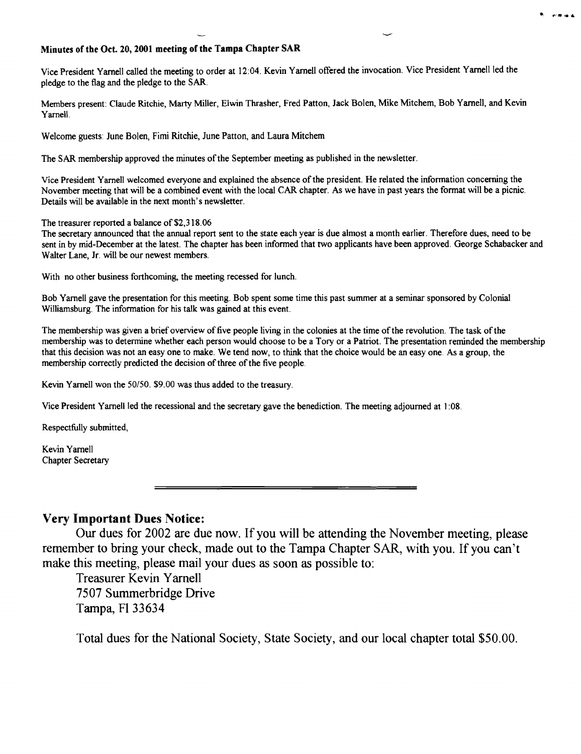## Minutes of the Oct. 20, 2001 meeting of the Tampa Chapter SAR

Vice President Yarnell called the meeting to order at 12:04. Kevin Yarnell offered the invocation. Vice President Yarnell led the pledge to the flag and the pledge to the SAR.

Members present: Claude Ritchie, Marty Miller, Elwin Thrasher, Fred Patton, Jack Bolen, Mike Mitchem, Bob Yarnell, and Kevin Yarnell.

Welcome guests: June Bolen, Fimi Ritchie, June Patton, and Laura Mitchem

The SAR membership approved the minutes of the September meeting as published in the newsletter.

Vice President Yarnell welcomed everyone and explained the absence of the president. He related the information concerning the November meeting that will be a combined event with the local CAR chapter. As we have in past years the format will be a picnic. Details will be available in the next month's newsletter.

The treasurer reported a balance of \$2,318.06

The secretary announced that the annual report sent to the state each year is due almost a month earlier. Therefore dues, need to be sent in by mid-December at the latest. The chapter has been informed that two applicants have been approved. George Schabacker and Walter Lane, Jr. will be our newest members.

With no other business forthcoming, the meeting recessed for lunch.

Bob Yarnell gave the presentation for this meeting. Bob spent some time this past summer at a seminar sponsored by Colonial Williamsburg. The information for his talk was gained at this event.

The membership was given a brief overview of five people living in the colonies at the time of the revolution. The task of the membership was to determine whether each person would choose to be a Tory or a Patriot. The presentation reminded the membership that this decision was not an easy one to make. We tend now, to think. that the choice would be an easy one. As a group, the membership correctly predicted the decision of three of the five people.

Kevin Yarnell won the *50/50.* \$9.00 was thus added to the treasury.

Vice President Yarnell led the recessional and the secretary gave the benediction. The meeting adjourned at 1:08.

Respectfully submitted,

Kevin Yarnell Chapter Secretary

## Very Important Dues Notice:

Our dues for 2002 are due now. If you will be attending the November meeting, please remember to bring your check, made out to the Tampa Chapter SAR, with you. If you can't make this meeting, please mail your dues as soon as possible to:

Treasurer Kevin YamelI 7507 Summerbridge Drive Tampa, Fl 33634

Total dues for the National Society, State Society, and our local chapter total \$50.00.